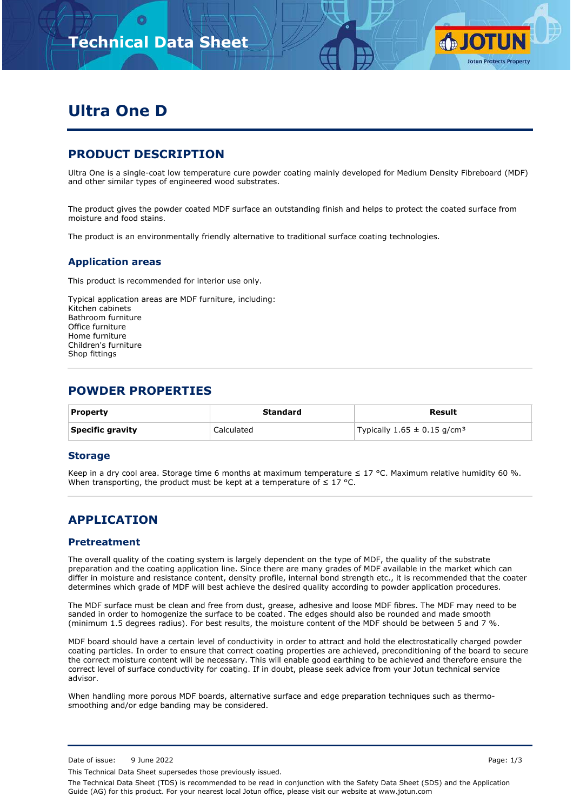

# **Ultra One D**

## **PRODUCT DESCRIPTION**

Ultra One is a single-coat low temperature cure powder coating mainly developed for Medium Density Fibreboard (MDF) and other similar types of engineered wood substrates.

The product gives the powder coated MDF surface an outstanding finish and helps to protect the coated surface from moisture and food stains.

The product is an environmentally friendly alternative to traditional surface coating technologies.

### **Application areas**

This product is recommended for interior use only.

Typical application areas are MDF furniture, including: Kitchen cabinets Bathroom furniture Office furniture Home furniture Children's furniture Shop fittings

## **POWDER PROPERTIES**

| <b>Property</b>  | Standard   | Result                                      |
|------------------|------------|---------------------------------------------|
| Specific gravity | Calculated | Typically $1.65 \pm 0.15$ g/cm <sup>3</sup> |

#### **Storage**

Keep in a dry cool area. Storage time 6 months at maximum temperature ≤ 17 °C. Maximum relative humidity 60 %. When transporting, the product must be kept at a temperature of  $\leq 17$  °C.

## **APPLICATION**

#### **Pretreatment**

The overall quality of the coating system is largely dependent on the type of MDF, the quality of the substrate preparation and the coating application line. Since there are many grades of MDF available in the market which can differ in moisture and resistance content, density profile, internal bond strength etc., it is recommended that the coater determines which grade of MDF will best achieve the desired quality according to powder application procedures.

The MDF surface must be clean and free from dust, grease, adhesive and loose MDF fibres. The MDF may need to be sanded in order to homogenize the surface to be coated. The edges should also be rounded and made smooth (minimum 1.5 degrees radius). For best results, the moisture content of the MDF should be between 5 and 7 %.

MDF board should have a certain level of conductivity in order to attract and hold the electrostatically charged powder coating particles. In order to ensure that correct coating properties are achieved, preconditioning of the board to secure the correct moisture content will be necessary. This will enable good earthing to be achieved and therefore ensure the correct level of surface conductivity for coating. If in doubt, please seek advice from your Jotun technical service advisor.

When handling more porous MDF boards, alternative surface and edge preparation techniques such as thermosmoothing and/or edge banding may be considered.

This Technical Data Sheet supersedes those previously issued.

The Technical Data Sheet (TDS) is recommended to be read in conjunction with the Safety Data Sheet (SDS) and the Application Guide (AG) for this product. For your nearest local Jotun office, please visit our website at www.jotun.com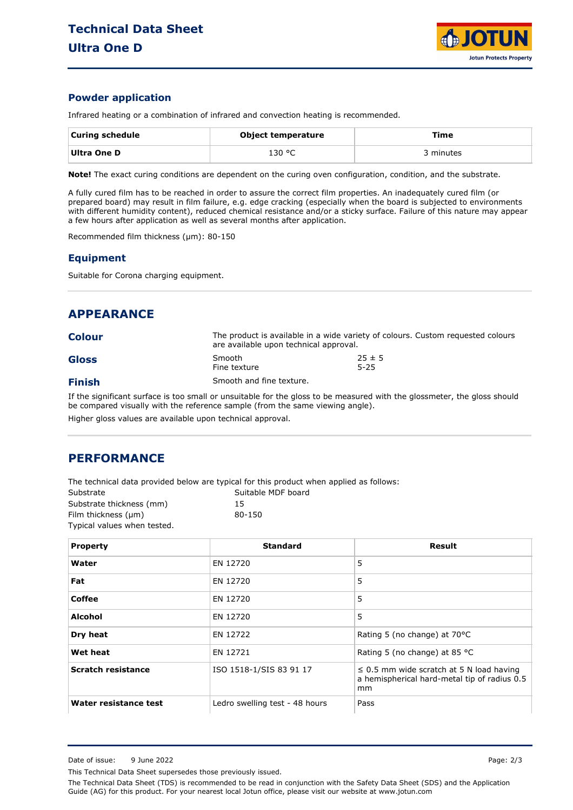

#### **Powder application**

Infrared heating or a combination of infrared and convection heating is recommended.

| <b>Curing schedule</b> | Object temperature | Time      |
|------------------------|--------------------|-----------|
| Ultra One D            | 130 °C             | 3 minutes |

**Note!** The exact curing conditions are dependent on the curing oven configuration, condition, and the substrate.

A fully cured film has to be reached in order to assure the correct film properties. An inadequately cured film (or prepared board) may result in film failure, e.g. edge cracking (especially when the board is subjected to environments with different humidity content), reduced chemical resistance and/or a sticky surface. Failure of this nature may appear a few hours after application as well as several months after application.

Recommended film thickness (µm): 80-150

#### **Equipment**

Suitable for Corona charging equipment.

| <b>APPEARANCE</b> |                          |                                                                                                                           |  |
|-------------------|--------------------------|---------------------------------------------------------------------------------------------------------------------------|--|
| <b>Colour</b>     |                          | The product is available in a wide variety of colours. Custom requested colours<br>are available upon technical approval. |  |
| <b>Gloss</b>      | Smooth<br>Fine texture   | $25 \pm 5$<br>$5 - 25$                                                                                                    |  |
| <b>Finish</b>     | Smooth and fine texture. |                                                                                                                           |  |
|                   |                          |                                                                                                                           |  |

If the significant surface is too small or unsuitable for the gloss to be measured with the glossmeter, the gloss should be compared visually with the reference sample (from the same viewing angle). Higher gloss values are available upon technical approval.

### **PERFORMANCE**

The technical data provided below are typical for this product when applied as follows:

| Substrate                   | Suitable MDF board |
|-----------------------------|--------------------|
| Substrate thickness (mm)    | 15                 |
| Film thickness (µm)         | 80-150             |
| Typical values when tested. |                    |

| <b>Property</b>           | <b>Standard</b>                | Result                                                                                              |
|---------------------------|--------------------------------|-----------------------------------------------------------------------------------------------------|
| Water                     | EN 12720                       | 5                                                                                                   |
| Fat                       | EN 12720                       | 5                                                                                                   |
| <b>Coffee</b>             | EN 12720                       | 5                                                                                                   |
| <b>Alcohol</b>            | EN 12720                       | 5                                                                                                   |
| Dry heat                  | EN 12722                       | Rating 5 (no change) at 70°C                                                                        |
| Wet heat                  | EN 12721                       | Rating 5 (no change) at 85 °C                                                                       |
| <b>Scratch resistance</b> | ISO 1518-1/SIS 83 91 17        | $\leq$ 0.5 mm wide scratch at 5 N load having<br>a hemispherical hard-metal tip of radius 0.5<br>mm |
| Water resistance test     | Ledro swelling test - 48 hours | Pass                                                                                                |

This Technical Data Sheet supersedes those previously issued.

The Technical Data Sheet (TDS) is recommended to be read in conjunction with the Safety Data Sheet (SDS) and the Application Guide (AG) for this product. For your nearest local Jotun office, please visit our website at www.jotun.com

Date of issue: 9 June 2022 Page: 2/3